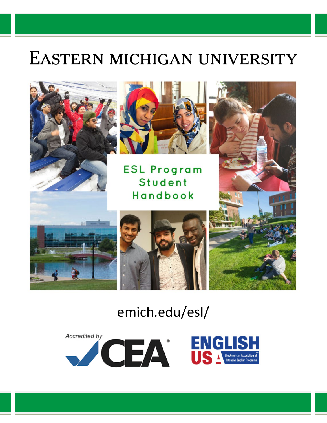# EASTERN MICHIGAN UNIVERSITY





**ESL Program** Student Handbook





# emich.edu/esl/

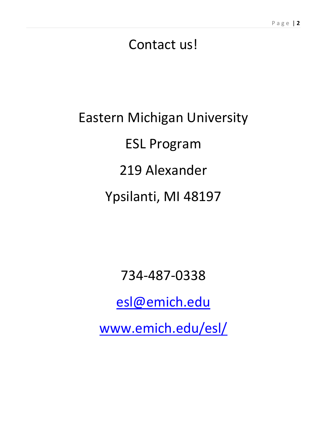# Contact us!

# Eastern Michigan University ESL Program 219 Alexander Ypsilanti, MI 48197

734-487-0338

[esl@emich.edu](mailto:esl@emich.edu)

www.emich.edu/esl/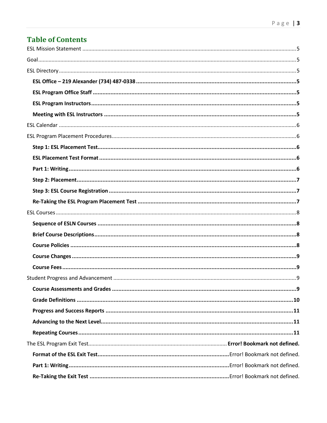# **Table of Contents**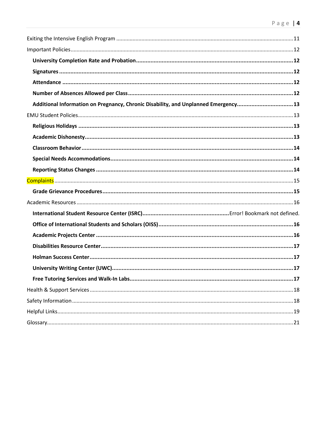| Additional Information on Pregnancy, Chronic Disability, and Unplanned Emergency13 |  |
|------------------------------------------------------------------------------------|--|
|                                                                                    |  |
|                                                                                    |  |
|                                                                                    |  |
|                                                                                    |  |
|                                                                                    |  |
|                                                                                    |  |
|                                                                                    |  |
|                                                                                    |  |
|                                                                                    |  |
|                                                                                    |  |
|                                                                                    |  |
|                                                                                    |  |
|                                                                                    |  |
|                                                                                    |  |
|                                                                                    |  |
|                                                                                    |  |
|                                                                                    |  |
|                                                                                    |  |
|                                                                                    |  |
|                                                                                    |  |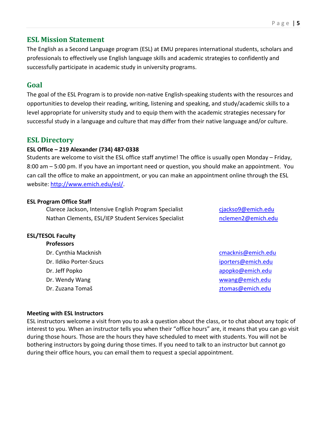# <span id="page-4-0"></span>**ESL Mission Statement**

The English as a Second Language program (ESL) at EMU prepares international students, scholars and professionals to effectively use English language skills and academic strategies to confidently and successfully participate in academic study in university programs.

# <span id="page-4-1"></span>**Goal**

The goal of the ESL Program is to provide non-native English-speaking students with the resources and opportunities to develop their reading, writing, listening and speaking, and study/academic skills to a level appropriate for university study and to equip them with the academic strategies necessary for successful study in a language and culture that may differ from their native language and/or culture.

## <span id="page-4-2"></span>**ESL Directory**

#### <span id="page-4-3"></span>**ESL Office – 219 Alexander (734) 487-0338**

Students are welcome to visit the ESL office staff anytime! The office is usually open Monday – Friday, 8:00 am – 5:00 pm. If you have an important need or question, you should make an appointment. You can call the office to make an appointment, or you can make an appointment online through the ESL website[: http://www.emich.edu/esl/.](http://www.emich.edu/esl/)

#### <span id="page-4-4"></span>**ESL Program Office Staff**

Clarece Jackson, Intensive English Program Specialist [cjackso9@emich.edu](mailto:cjackso9@emich.edu) Nathan Clements, ESL/IEP Student Services Specialist [nclemen2@emich.edu](mailto:nclemen2@emich.edu)

# <span id="page-4-5"></span>**ESL/TESOL Faculty**

| cmacknis@emich.edu |
|--------------------|
| iporters@emich.edu |
| apopko@emich.edu   |
| wwang@emich.edu    |
| ztomas@emich.edu   |
|                    |

#### <span id="page-4-6"></span>**Meeting with ESL Instructors**

<span id="page-4-7"></span>ESL instructors welcome a visit from you to ask a question about the class, or to chat about any topic of interest to you. When an instructor tells you when their "office hours" are, it means that you can go visit during those hours. Those are the hours they have scheduled to meet with students. You will not be bothering instructors by going during those times. If you need to talk to an instructor but cannot go during their office hours, you can email them to request a special appointment.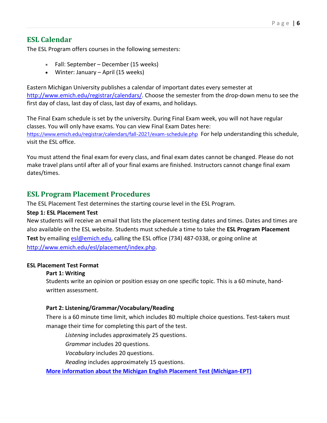# **ESL Calendar**

The ESL Program offers courses in the following semesters:

- Fall: September December (15 weeks)
- Winter: January April (15 weeks)

Eastern Michigan University publishes a calendar of important dates every semester at [http://www.emich.edu/registrar/calendars/.](http://www.emich.edu/registrar/calendars/) Choose the semester from the drop-down menu to see the first day of class, last day of class, last day of exams, and holidays.

The Final Exam schedule is set by the university. During Final Exam week, you will not have regular classes. You will only have exams. You can view Final Exam Dates here: <https://www.emich.edu/registrar/calendars/fall-2021/exam-schedule.php> For help understanding this schedule, visit the ESL office.

You must attend the final exam for every class, and final exam dates cannot be changed. Please do not make travel plans until after all of your final exams are finished. Instructors cannot change final exam dates/times.

# <span id="page-5-0"></span>**ESL Program Placement Procedures**

The ESL Placement Test determines the starting course level in the ESL Program.

#### <span id="page-5-1"></span>**Step 1: ESL Placement Test**

New students will receive an email that lists the placement testing dates and times. Dates and times are also available on the ESL website. Students must schedule a time to take the **ESL Program Placement Test** by emailin[g esl@emich.edu,](mailto:esl@emich.edu) calling the ESL office (734) 487-0338, or going online at [http://www.emich.edu/esl/placement/index.php.](http://www.emich.edu/esl/placement/index.php)

#### <span id="page-5-3"></span><span id="page-5-2"></span>**ESL Placement Test Format**

#### **Part 1: Writing**

Students write an opinion or position essay on one specific topic. This is a 60 minute, handwritten assessment.

#### **Part 2: Listening/Grammar/Vocabulary/Reading**

There is a 60 minute time limit, which includes 80 multiple choice questions. Test-takers must manage their time for completing this part of the test.

*Listening* includes approximately 25 questions.

*Grammar* includes 20 questions.

*Vocabulary* includes 20 questions.

*Reading* includes approximately 15 questions.

**[More information about the Michigan English Placement Test \(Michigan-EPT\)](https://michiganassessment.org/michigan-tests/m-ept/)**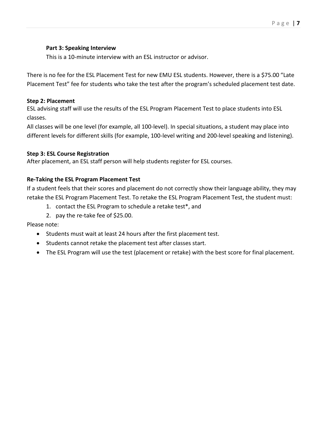#### **Part 3: Speaking Interview**

This is a 10-minute interview with an ESL instructor or advisor.

There is no fee for the ESL Placement Test for new EMU ESL students. However, there is a \$75.00 "Late Placement Test" fee for students who take the test after the program's scheduled placement test date.

#### <span id="page-6-0"></span>**Step 2: Placement**

ESL advising staff will use the results of the ESL Program Placement Test to place students into ESL classes.

All classes will be one level (for example, all 100-level). In special situations, a student may place into different levels for different skills (for example, 100-level writing and 200-level speaking and listening).

#### <span id="page-6-1"></span>**Step 3: ESL Course Registration**

<span id="page-6-2"></span>After placement, an ESL staff person will help students register for ESL courses.

#### **Re-Taking the ESL Program Placement Test**

If a student feels that their scores and placement do not correctly show their language ability, they may retake the ESL Program Placement Test. To retake the ESL Program Placement Test, the student must:

- 1. contact the ESL Program to schedule a retake test\*, and
- 2. pay the re-take fee of \$25.00.

#### Please note:

- Students must wait at least 24 hours after the first placement test.
- Students cannot retake the placement test after classes start.
- <span id="page-6-3"></span>• The ESL Program will use the test (placement or retake) with the best score for final placement.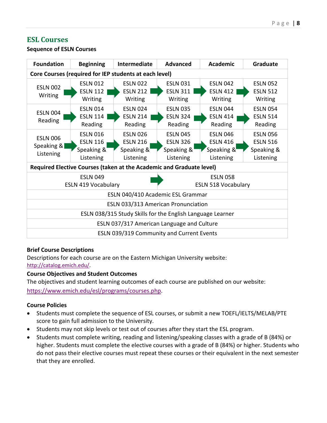# **ESL Courses**



<span id="page-7-0"></span>**Sequence of ESLN Courses**

#### <span id="page-7-1"></span>**Brief Course Descriptions**

Descriptions for each course are on the Eastern Michigan University website: [http://catalog.emich.edu/.](http://catalog.emich.edu/)

#### <span id="page-7-2"></span>**Course Objectives and Student Outcomes**

The objectives and student learning outcomes of each course are published on our website: [https://www.emich.edu/esl/programs/courses.php.](https://www.emich.edu/esl/programs/courses.php)

#### **Course Policies**

- Students must complete the sequence of ESL courses, or submit a new TOEFL/IELTS/MELAB/PTE score to gain full admission to the University.
- Students may not skip levels or test out of courses after they start the ESL program.
- Students must complete writing, reading and listening/speaking classes with a grade of B (84%) or higher. Students must complete the elective courses with a grade of B (84%) or higher. Students who do not pass their elective courses must repeat these courses or their equivalent in the next semester that they are enrolled.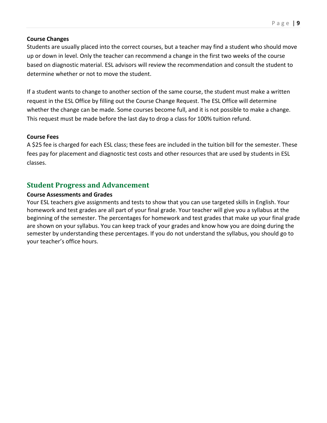#### <span id="page-8-0"></span>**Course Changes**

Students are usually placed into the correct courses, but a teacher may find a student who should move up or down in level. Only the teacher can recommend a change in the first two weeks of the course based on diagnostic material. ESL advisors will review the recommendation and consult the student to determine whether or not to move the student.

If a student wants to change to another section of the same course, the student must make a written request in the ESL Office by filling out the Course Change Request. The ESL Office will determine whether the change can be made. Some courses become full, and it is not possible to make a change. This request must be made before the last day to drop a class for 100% tuition refund.

#### <span id="page-8-1"></span>**Course Fees**

A \$25 fee is charged for each ESL class; these fees are included in the tuition bill for the semester. These fees pay for placement and diagnostic test costs and other resources that are used by students in ESL classes.

# <span id="page-8-2"></span>**Student Progress and Advancement**

#### <span id="page-8-3"></span>**Course Assessments and Grades**

Your ESL teachers give assignments and tests to show that you can use targeted skills in English. Your homework and test grades are all part of your final grade. Your teacher will give you a syllabus at the beginning of the semester. The percentages for homework and test grades that make up your final grade are shown on your syllabus. You can keep track of your grades and know how you are doing during the semester by understanding these percentages. If you do not understand the syllabus, you should go to your teacher's office hours.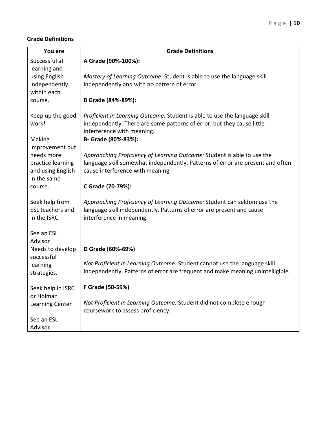#### <span id="page-9-0"></span>**Grade Definitions**

| You are                                | <b>Grade Definitions</b>                                                                                           |
|----------------------------------------|--------------------------------------------------------------------------------------------------------------------|
| Successful at                          | A Grade (90%-100%):                                                                                                |
| learning and                           |                                                                                                                    |
| using English                          | Mastery of Learning Outcome: Student is able to use the language skill                                             |
| independently                          | independently and with no pattern of error.                                                                        |
| within each                            | B Grade (84%-89%):                                                                                                 |
| course.                                |                                                                                                                    |
| Keep up the good                       | Proficient in Learning Outcome: Student is able to use the language skill                                          |
| work!                                  | independently. There are some patterns of error, but they cause little                                             |
|                                        | interference with meaning.                                                                                         |
| Making                                 | B- Grade (80%-83%):                                                                                                |
| improvement but                        |                                                                                                                    |
| needs more                             | Approaching Proficiency of Learning Outcome: Student is able to use the                                            |
| practice learning<br>and using English | language skill somewhat independently. Patterns of error are present and often<br>cause interference with meaning. |
| in the same                            |                                                                                                                    |
| course.                                | C Grade (70-79%):                                                                                                  |
|                                        |                                                                                                                    |
| Seek help from                         | Approaching Proficiency of Learning Outcome: Student can seldom use the                                            |
| <b>ESL teachers and</b>                | language skill independently. Patterns of error are present and cause                                              |
| in the ISRC.                           | interference in meaning.                                                                                           |
|                                        |                                                                                                                    |
| See an ESL<br>Advisor                  |                                                                                                                    |
| Needs to develop                       | D Grade (60%-69%)                                                                                                  |
| successful                             |                                                                                                                    |
| learning                               | Not Proficient in Learning Outcome: Student cannot use the language skill                                          |
| strategies.                            | independently. Patterns of error are frequent and make meaning unintelligible.                                     |
|                                        |                                                                                                                    |
| Seek help in ISRC                      | F Grade (50-59%)                                                                                                   |
| or Holman                              |                                                                                                                    |
| Learning Center                        | Not Proficient in Learning Outcome: Student did not complete enough<br>coursework to assess proficiency.           |
| See an ESL                             |                                                                                                                    |
| Advisor.                               |                                                                                                                    |
|                                        |                                                                                                                    |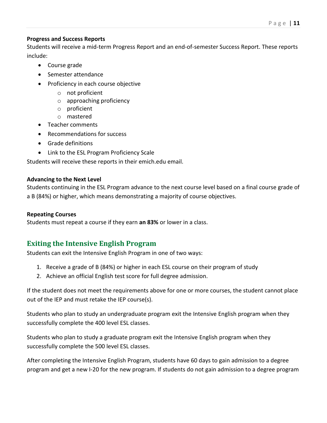#### <span id="page-10-0"></span>**Progress and Success Reports**

Students will receive a mid-term Progress Report and an end-of-semester Success Report. These reports include:

- Course grade
- Semester attendance
- Proficiency in each course objective
	- o not proficient
	- o approaching proficiency
	- o proficient
	- o mastered
- Teacher comments
- Recommendations for success
- Grade definitions
- Link to the ESL Program Proficiency Scale

Students will receive these reports in their emich.edu email.

#### <span id="page-10-1"></span>**Advancing to the Next Level**

Students continuing in the ESL Program advance to the next course level based on a final course grade of a B (84%) or higher, which means demonstrating a majority of course objectives.

#### <span id="page-10-2"></span>**Repeating Courses**

<span id="page-10-3"></span>Students must repeat a course if they earn **an 83%** or lower in a class.

# **Exiting the Intensive English Program**

Students can exit the Intensive English Program in one of two ways:

- 1. Receive a grade of B (84%) or higher in each ESL course on their program of study
- 2. Achieve an official English test score for full degree admission.

If the student does not meet the requirements above for one or more courses, the student cannot place out of the IEP and must retake the IEP course(s).

Students who plan to study an undergraduate program exit the Intensive English program when they successfully complete the 400 level ESL classes.

Students who plan to study a graduate program exit the Intensive English program when they successfully complete the 500 level ESL classes.

After completing the Intensive English Program, students have 60 days to gain admission to a degree program and get a new I-20 for the new program. If students do not gain admission to a degree program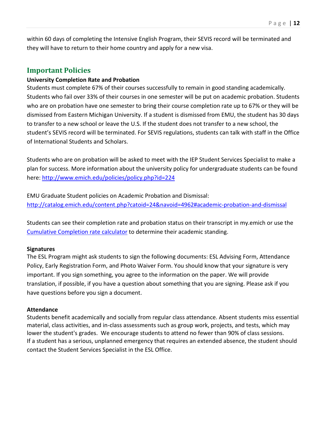within 60 days of completing the Intensive English Program, their SEVIS record will be terminated and they will have to return to their home country and apply for a new visa.

#### <span id="page-11-0"></span>**Important Policies**

#### <span id="page-11-1"></span>**University Completion Rate and Probation**

Students must complete 67% of their courses successfully to remain in good standing academically. Students who fail over 33% of their courses in one semester will be put on academic probation. Students who are on probation have one semester to bring their course completion rate up to 67% or they will be dismissed from Eastern Michigan University. If a student is dismissed from EMU, the student has 30 days to transfer to a new school or leave the U.S. If the student does not transfer to a new school, the student's SEVIS record will be terminated. For SEVIS regulations, students can talk with staff in the Office of International Students and Scholars.

Students who are on probation will be asked to meet with the IEP Student Services Specialist to make a plan for success. More information about the university policy for undergraduate students can be found here:<http://www.emich.edu/policies/policy.php?id=224>

EMU Graduate Student policies on Academic Probation and Dismissal: <http://catalog.emich.edu/content.php?catoid=24&navoid=4962#academic-probation-and-dismissal>

Students can see their completion rate and probation status on their transcript in my.emich or use the [Cumulative Completion rate calculator](http://www.emich.edu/uacdc/forms/completionrate.php) to determine their academic standing.

#### <span id="page-11-2"></span>**Signatures**

The ESL Program might ask students to sign the following documents: ESL Advising Form, Attendance Policy, Early Registration Form, and Photo Waiver Form. You should know that your signature is very important. If you sign something, you agree to the information on the paper. We will provide translation, if possible, if you have a question about something that you are signing. Please ask if you have questions before you sign a document.

#### <span id="page-11-3"></span>**Attendance**

<span id="page-11-4"></span>Students benefit academically and socially from regular class attendance. Absent students miss essential material, class activities, and in-class assessments such as group work, projects, and tests, which may lower the student's grades. We encourage students to attend no fewer than 90% of class sessions. If a student has a serious, unplanned emergency that requires an extended absence, the student should contact the Student Services Specialist in the ESL Office.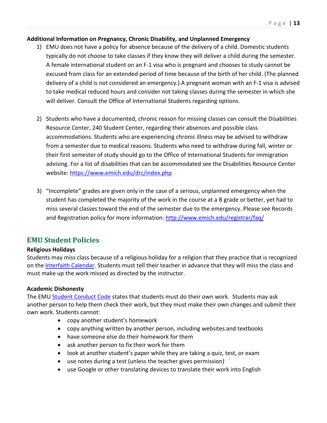#### <span id="page-12-0"></span>**Additional Information on Pregnancy, Chronic Disability, and Unplanned Emergency**

- 1) EMU does not have a policy for absence because of the delivery of a child. Domestic students typically do not choose to take classes if they know they will deliver a child during the semester. A female international student on an F-1 visa who is pregnant and chooses to study cannot be excused from class for an extended period of time because of the birth of her child. (The planned delivery of a child is not considered an emergency.) A pregnant woman with an F-1 visa is advised to take medical reduced hours and consider not taking classes during the semester in which she will deliver. Consult the Office of International Students regarding options.
- 2) Students who have a documented, chronic reason for missing classes can consult the Disabilities Resource Center, 240 Student Center, regarding their absences and possible class accommodations. Students who are experiencing chronic illness may be advised to withdraw from a semester due to medical reasons. Students who need to withdraw during fall, winter or their first semester of study should go to the Office of International Students for immigration advising. For a list of disabilities that can be accommodated see the Disabilities Resource Center website[: https://www.emich.edu/drc/index.php](https://www.emich.edu/drc/index.php)
- 3) "Incomplete" grades are given only in the case of a serious, unplanned emergency when the student has completed the majority of the work in the course at a B grade or better, yet had to miss several classes toward the end of the semester due to the emergency. Please see Records and Registration policy for more information:<http://www.emich.edu/registrar/faq/>

# <span id="page-12-1"></span>**EMU Student Policies**

#### <span id="page-12-2"></span>**Religious Holidays**

Students may miss class because of a religious holiday for a religion that they practice that is recognized on the [Interfaith Calendar.](http://www.interfaith-calendar.org/) Students must tell their teacher in advance that they will miss the class and must make up the work missed as directed by the instructor.

#### <span id="page-12-3"></span>**Academic Dishonesty**

The EMU [Student Conduct Code](http://www.emich.edu/policies/policy.php?id=124&term=student%20conduct) states that students must do their own work. Students may ask another person to help them check their work, but they must make their own changes and submit their own work. Students cannot:

- copy another student's homework
- copy anything written by another person, including websites and textbooks
- have someone else do their homework for them
- ask another person to fix their work for them
- look at another student's paper while they are taking a quiz, test, or exam
- use notes during a test (unless the teacher gives permission)
- use Google or other translating devices to translate their work into English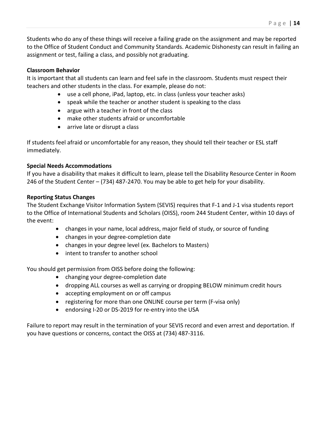Students who do any of these things will receive a failing grade on the assignment and may be reported to the Office of Student Conduct and Community Standards. Academic Dishonesty can result in failing an assignment or test, failing a class, and possibly not graduating.

#### <span id="page-13-0"></span>**Classroom Behavior**

It is important that all students can learn and feel safe in the classroom. Students must respect their teachers and other students in the class. For example, please do not:

- use a cell phone, iPad, laptop, etc. in class (unless your teacher asks)
- speak while the teacher or another student is speaking to the class
- argue with a teacher in front of the class
- make other students afraid or uncomfortable
- arrive late or disrupt a class

If students feel afraid or uncomfortable for any reason, they should tell their teacher or ESL staff immediately.

#### <span id="page-13-1"></span>**Special Needs Accommodations**

If you have a disability that makes it difficult to learn, please tell the Disability Resource Center in Room 246 of the Student Center – (734) 487-2470. You may be able to get help for your disability.

#### <span id="page-13-2"></span>**Reporting Status Changes**

The Student Exchange Visitor Information System (SEVIS) requires that F-1 and J-1 visa students report to the Office of International Students and Scholars (OISS), room 244 Student Center, within 10 days of the event:

- changes in your name, local address, major field of study, or source of funding
- changes in your degree-completion date
- changes in your degree level (ex. Bachelors to Masters)
- intent to transfer to another school

You should get permission from OISS before doing the following:

- changing your degree-completion date
- dropping ALL courses as well as carrying or dropping BELOW minimum credit hours
- accepting employment on or off campus
- registering for more than one ONLINE course per term (F-visa only)
- endorsing I-20 or DS-2019 for re-entry into the USA

Failure to report may result in the termination of your SEVIS record and even arrest and deportation. If you have questions or concerns, contact the OISS at (734) 487-3116.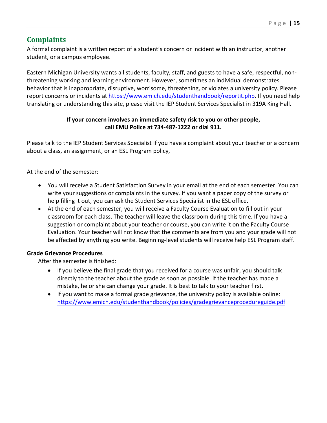# <span id="page-14-0"></span>**Complaints**

A formal complaint is a written report of a student's concern or incident with an instructor, another student, or a campus employee.

Eastern Michigan University wants all students, faculty, staff, and guests to have a safe, respectful, nonthreatening working and learning environment. However, sometimes an individual demonstrates behavior that is inappropriate, disruptive, worrisome, threatening, or violates a university policy. Please report concerns or incidents at [https://www.emich.edu/studenthandbook/reportit.php.](https://www.emich.edu/studenthandbook/reportit.php) If you need help translating or understanding this site, please visit the IEP Student Services Specialist in 319A King Hall.

#### **If your concern involves an immediate safety risk to you or other people, call EMU Police at 734-487-1222 or dial 911.**

Please talk to the IEP Student Services Specialist If you have a complaint about your teacher or a concern about a class, an assignment, or an ESL Program policy,

At the end of the semester:

- You will receive a Student Satisfaction Survey in your email at the end of each semester. You can write your suggestions or complaints in the survey. If you want a paper copy of the survey or help filling it out, you can ask the Student Services Specialist in the ESL office.
- At the end of each semester, you will receive a Faculty Course Evaluation to fill out in your classroom for each class. The teacher will leave the classroom during this time. If you have a suggestion or complaint about your teacher or course, you can write it on the Faculty Course Evaluation. Your teacher will not know that the comments are from you and your grade will not be affected by anything you write. Beginning-level students will receive help ESL Program staff.

#### <span id="page-14-1"></span>**Grade Grievance Procedures**

After the semester is finished:

- If you believe the final grade that you received for a course was unfair, you should talk directly to the teacher about the grade as soon as possible. If the teacher has made a mistake, he or she can change your grade. It is best to talk to your teacher first.
- If you want to make a formal grade grievance, the university policy is available online: <https://www.emich.edu/studenthandbook/policies/gradegrievanceprocedureguide.pdf>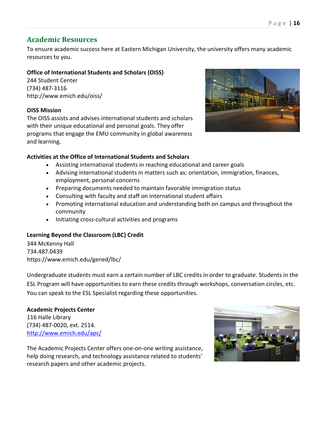# <span id="page-15-0"></span>**Academic Resources**

To ensure academic success here at Eastern Michigan University, the university offers many academic resources to you.

## <span id="page-15-1"></span>**Office of International Students and Scholars (OISS)**

244 Student Center (734) 487-3116 <http://www.emich.edu/oiss/>

#### **OISS Mission**

The OISS assists and advises international students and scholars with their unique educational and personal goals. They offer programs that engage the EMU community in global awareness and learning.



#### **Activities at the Office of International Students and Scholars**

- Assisting international students in reaching educational and career goals
- Advising international students in matters such as: orientation, immigration, finances, employment, personal concerns
- Preparing documents needed to maintain favorable immigration status
- Consulting with faculty and staff on international student affairs
- Promoting international education and understanding both on campus and throughout the community
- Initiating cross-cultural activities and programs

#### **Learning Beyond the Classroom (LBC) Credit**

344 McKenny Hall 734.487.0439 <https://www.emich.edu/gened/lbc/>

Undergraduate students must earn a certain number of LBC credits in order to graduate. Students in the ESL Program will have opportunities to earn these credits through workshops, conversation circles, etc. You can speak to the ESL Specialist regarding these opportunities.

#### <span id="page-15-2"></span>**Academic Projects Center** 116 Halle Library (734) 487-0020, ext. 2514. <http://www.emich.edu/apc/>



<span id="page-15-3"></span>The Academic Projects Center offers one-on-one writing assistance, help doing research, and technology assistance related to students' research papers and other academic projects.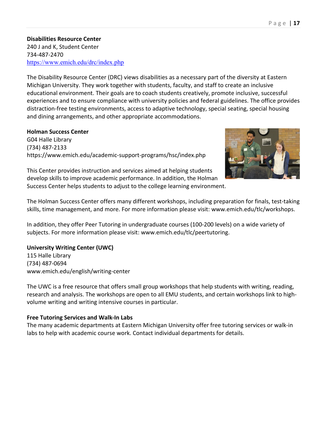**Disabilities Resource Center** 240 J and K, Student Center 734-487-2470 <https://www.emich.edu/drc/index.php>

The Disability Resource Center (DRC) views disabilities as a necessary part of the diversity at Eastern Michigan University. They work together with students, faculty, and staff to create an inclusive educational environment. Their goals are to coach students creatively, promote inclusive, successful experiences and to ensure compliance with university policies and federal guidelines. The office provides distraction-free testing environments, access to adaptive technology, special seating, special housing and dining arrangements, and other appropriate accommodations.

#### <span id="page-16-0"></span>**Holman Success Center**

G04 Halle Library (734) 487-2133 <https://www.emich.edu/academic-support-programs/hsc/index.php>



This Center provides instruction and services aimed at helping students develop skills to improve academic performance. In addition, the Holman Success Center helps students to adjust to the college learning environment.

The Holman Success Center offers many different workshops, including preparation for finals, test-taking skills, time management, and more. For more information please visit: [www.emich.edu/tlc/workshops.](http://www.emich.edu/tlc/workshops.html)

In addition, they offer Peer Tutoring in undergraduate courses (100-200 levels) on a wide variety of subjects. For more information please visit: [www.emich.edu/tlc/peertutoring.](http://www.emich.edu/tlc/peertutoring)

#### <span id="page-16-1"></span>**University Writing Center (UWC)**

115 Halle Library (734) 487-0694 [www.emich.edu/english/writing-center](http://www.emich.edu/english/writing-center)

The UWC is a free resource that offers small group workshops that help students with writing, reading, research and analysis. The workshops are open to all EMU students, and certain workshops link to highvolume writing and writing intensive courses in particular.

#### <span id="page-16-2"></span>**Free Tutoring Services and Walk-In Labs**

The many academic departments at Eastern Michigan University offer free tutoring services or walk-in labs to help with academic course work. Contact individual departments for details.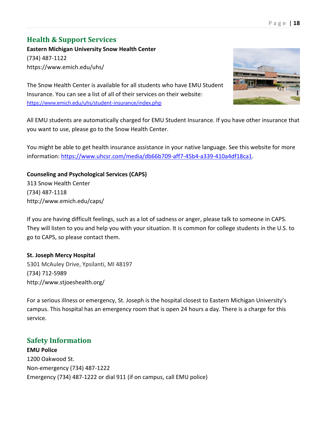# <span id="page-17-0"></span>**Health & Support Services**

**Eastern Michigan University Snow Health Center** (734) 487-1122 <https://www.emich.edu/uhs/>

The Snow Health Center is available for all students who have EMU Student Insurance. You can see a list of all of their services on their website: <https://www.emich.edu/uhs/student-insurance/index.php>

All EMU students are automatically charged for EMU Student Insurance. If you have other insurance that you want to use, please go to the Snow Health Center.

You might be able to get health insurance assistance in your native language. See this website for more information: [https://www.uhcsr.com/media/db66b709-aff7-45b4-a339-410a4df18ca1.](https://www.uhcsr.com/media/db66b709-aff7-45b4-a339-410a4df18ca1)

**Counseling and Psychological Services (CAPS)** 313 Snow Health Center (734) 487-1118 <http://www.emich.edu/caps/>

If you are having difficult feelings, such as a lot of sadness or anger, please talk to someone in CAPS. They will listen to you and help you with your situation. It is common for college students in the U.S. to go to CAPS, so please contact them.

#### **St. Joseph Mercy Hospital**

5301 McAuley Drive, Ypsilanti, MI 48197 (734) 712-5989 <http://www.stjoeshealth.org/>

For a serious illness or emergency, St. Joseph is the hospital closest to Eastern Michigan University's campus. This hospital has an emergency room that is open 24 hours a day. There is a charge for this service.

# <span id="page-17-1"></span>**Safety Information**

**EMU Police** 1200 Oakwood St. Non-emergency (734) 487-1222 Emergency (734) 487-1222 or dial 911 (if on campus, call EMU police)

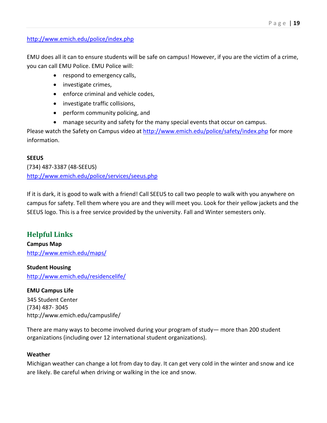#### <http://www.emich.edu/police/index.php>

EMU does all it can to ensure students will be safe on campus! However, if you are the victim of a crime, you can call EMU Police. EMU Police will:

- respond to emergency calls,
- investigate crimes,
- enforce criminal and vehicle codes,
- investigate traffic collisions,
- perform community policing, and
- manage security and safety for the many special events that occur on campus.

Please watch the Safety on Campus video at<http://www.emich.edu/police/safety/index.php> for more information.

#### **SEEUS**

(734) 487-3387 (48-SEEUS) <http://www.emich.edu/police/services/seeus.php>

If it is dark, it is good to walk with a friend! Call SEEUS to call two people to walk with you anywhere on campus for safety. Tell them where you are and they will meet you. Look for their yellow jackets and the SEEUS logo. This is a free service provided by the university. Fall and Winter semesters only.

# <span id="page-18-0"></span>**Helpful Links**

**Campus Map** <http://www.emich.edu/maps/>

#### **Student Housing**

<http://www.emich.edu/residencelife/>

**EMU Campus Life** 345 Student Center (734) 487- 3045 <http://www.emich.edu/campuslife/>

There are many ways to become involved during your program of study— more than 200 student organizations (including over 12 international student organizations).

#### **Weather**

Michigan weather can change a lot from day to day. It can get very cold in the winter and snow and ice are likely. Be careful when driving or walking in the ice and snow.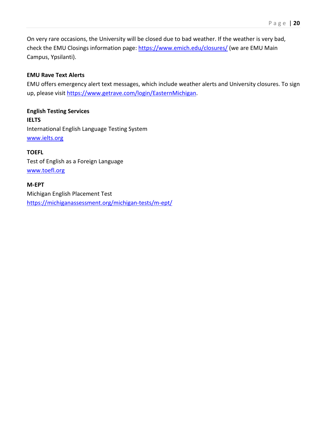On very rare occasions, the University will be closed due to bad weather. If the weather is very bad, check the EMU Closings information page:<https://www.emich.edu/closures/> (we are EMU Main Campus, Ypsilanti).

#### **EMU Rave Text Alerts**

EMU offers emergency alert text messages, which include weather alerts and University closures. To sign up, please visit [https://www.getrave.com/login/EasternMichigan.](https://www.getrave.com/login/EasternMichigan)

**English Testing Services IELTS** International English Language Testing System [www.ielts.org](http://www.ielts.org/)

**TOEFL**

Test of English as a Foreign Language [www.toefl.org](http://www.ets.org/toefl)

<span id="page-19-0"></span>**M-EPT** Michigan English Placement Test <https://michiganassessment.org/michigan-tests/m-ept/>